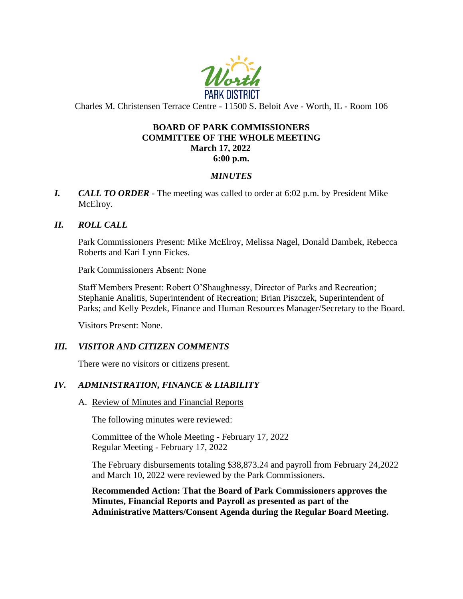

Charles M. Christensen Terrace Centre - 11500 S. Beloit Ave - Worth, IL - Room 106

### **BOARD OF PARK COMMISSIONERS COMMITTEE OF THE WHOLE MEETING March 17, 2022 6:00 p.m.**

# *MINUTES*

*I. CALL TO ORDER* - The meeting was called to order at 6:02 p.m. by President Mike McElroy.

### *II. ROLL CALL*

Park Commissioners Present: Mike McElroy, Melissa Nagel, Donald Dambek, Rebecca Roberts and Kari Lynn Fickes.

Park Commissioners Absent: None

Staff Members Present: Robert O'Shaughnessy, Director of Parks and Recreation; Stephanie Analitis, Superintendent of Recreation; Brian Piszczek, Superintendent of Parks; and Kelly Pezdek, Finance and Human Resources Manager/Secretary to the Board.

Visitors Present: None.

# *III. VISITOR AND CITIZEN COMMENTS*

There were no visitors or citizens present.

# *IV. ADMINISTRATION, FINANCE & LIABILITY*

A. Review of Minutes and Financial Reports

The following minutes were reviewed:

Committee of the Whole Meeting - February 17, 2022 Regular Meeting - February 17, 2022

The February disbursements totaling \$38,873.24 and payroll from February 24,2022 and March 10, 2022 were reviewed by the Park Commissioners.

**Recommended Action: That the Board of Park Commissioners approves the Minutes, Financial Reports and Payroll as presented as part of the Administrative Matters/Consent Agenda during the Regular Board Meeting.**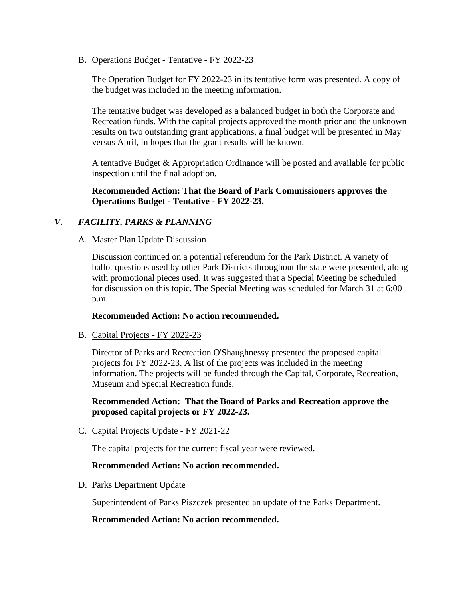B. Operations Budget - Tentative - FY 2022-23

The Operation Budget for FY 2022-23 in its tentative form was presented. A copy of the budget was included in the meeting information.

The tentative budget was developed as a balanced budget in both the Corporate and Recreation funds. With the capital projects approved the month prior and the unknown results on two outstanding grant applications, a final budget will be presented in May versus April, in hopes that the grant results will be known.

A tentative Budget & Appropriation Ordinance will be posted and available for public inspection until the final adoption.

#### **Recommended Action: That the Board of Park Commissioners approves the Operations Budget - Tentative - FY 2022-23.**

### *V. FACILITY, PARKS & PLANNING*

#### A. Master Plan Update Discussion

Discussion continued on a potential referendum for the Park District. A variety of ballot questions used by other Park Districts throughout the state were presented, along with promotional pieces used. It was suggested that a Special Meeting be scheduled for discussion on this topic. The Special Meeting was scheduled for March 31 at 6:00 p.m.

#### **Recommended Action: No action recommended.**

B. Capital Projects - FY 2022-23

Director of Parks and Recreation O'Shaughnessy presented the proposed capital projects for FY 2022-23. A list of the projects was included in the meeting information. The projects will be funded through the Capital, Corporate, Recreation, Museum and Special Recreation funds.

#### **Recommended Action: That the Board of Parks and Recreation approve the proposed capital projects or FY 2022-23.**

C. Capital Projects Update - FY 2021-22

The capital projects for the current fiscal year were reviewed.

#### **Recommended Action: No action recommended.**

D. Parks Department Update

Superintendent of Parks Piszczek presented an update of the Parks Department.

#### **Recommended Action: No action recommended.**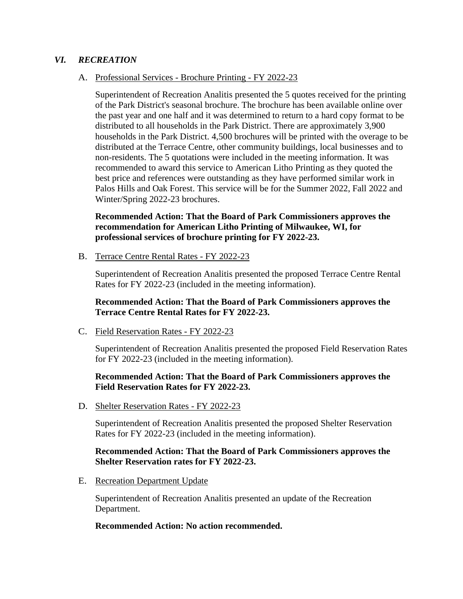#### *VI. RECREATION*

#### A. Professional Services - Brochure Printing - FY 2022-23

Superintendent of Recreation Analitis presented the 5 quotes received for the printing of the Park District's seasonal brochure. The brochure has been available online over the past year and one half and it was determined to return to a hard copy format to be distributed to all households in the Park District. There are approximately 3,900 households in the Park District. 4,500 brochures will be printed with the overage to be distributed at the Terrace Centre, other community buildings, local businesses and to non-residents. The 5 quotations were included in the meeting information. It was recommended to award this service to American Litho Printing as they quoted the best price and references were outstanding as they have performed similar work in Palos Hills and Oak Forest. This service will be for the Summer 2022, Fall 2022 and Winter/Spring 2022-23 brochures.

### **Recommended Action: That the Board of Park Commissioners approves the recommendation for American Litho Printing of Milwaukee, WI, for professional services of brochure printing for FY 2022-23.**

B. Terrace Centre Rental Rates - FY 2022-23

Superintendent of Recreation Analitis presented the proposed Terrace Centre Rental Rates for FY 2022-23 (included in the meeting information).

#### **Recommended Action: That the Board of Park Commissioners approves the Terrace Centre Rental Rates for FY 2022-23.**

C. Field Reservation Rates - FY 2022-23

Superintendent of Recreation Analitis presented the proposed Field Reservation Rates for FY 2022-23 (included in the meeting information).

#### **Recommended Action: That the Board of Park Commissioners approves the Field Reservation Rates for FY 2022-23.**

D. Shelter Reservation Rates - FY 2022-23

Superintendent of Recreation Analitis presented the proposed Shelter Reservation Rates for FY 2022-23 (included in the meeting information).

#### **Recommended Action: That the Board of Park Commissioners approves the Shelter Reservation rates for FY 2022-23.**

E. Recreation Department Update

Superintendent of Recreation Analitis presented an update of the Recreation Department.

#### **Recommended Action: No action recommended.**